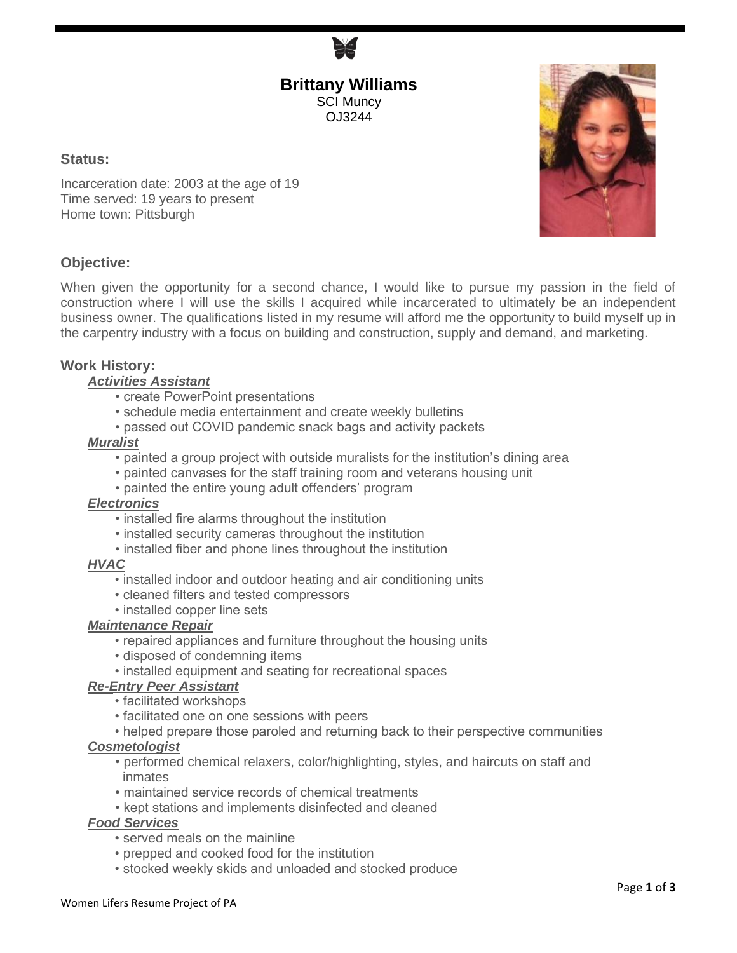**Brittany Williams** SCI Muncy OJ3244

### **Status:**

Incarceration date: 2003 at the age of 19 Time served: 19 years to present Home town: Pittsburgh

# **Objective:**

When given the opportunity for a second chance, I would like to pursue my passion in the field of construction where I will use the skills I acquired while incarcerated to ultimately be an independent business owner. The qualifications listed in my resume will afford me the opportunity to build myself up in the carpentry industry with a focus on building and construction, supply and demand, and marketing.

# **Work History:**

### *Activities Assistant*

- create PowerPoint presentations
- schedule media entertainment and create weekly bulletins
- passed out COVID pandemic snack bags and activity packets

#### *Muralist*

- painted a group project with outside muralists for the institution's dining area
- painted canvases for the staff training room and veterans housing unit
- painted the entire young adult offenders' program

#### *Electronics*

- installed fire alarms throughout the institution
- installed security cameras throughout the institution
- installed fiber and phone lines throughout the institution

#### *HVAC*

- installed indoor and outdoor heating and air conditioning units
- cleaned filters and tested compressors
- installed copper line sets

#### *Maintenance Repair*

- repaired appliances and furniture throughout the housing units
- disposed of condemning items
- installed equipment and seating for recreational spaces

#### *Re-Entry Peer Assistant*

- facilitated workshops
- facilitated one on one sessions with peers
- helped prepare those paroled and returning back to their perspective communities

# *Cosmetologist*

- performed chemical relaxers, color/highlighting, styles, and haircuts on staff and inmates
- maintained service records of chemical treatments
- kept stations and implements disinfected and cleaned

# *Food Services*

- served meals on the mainline
- prepped and cooked food for the institution
- stocked weekly skids and unloaded and stocked produce

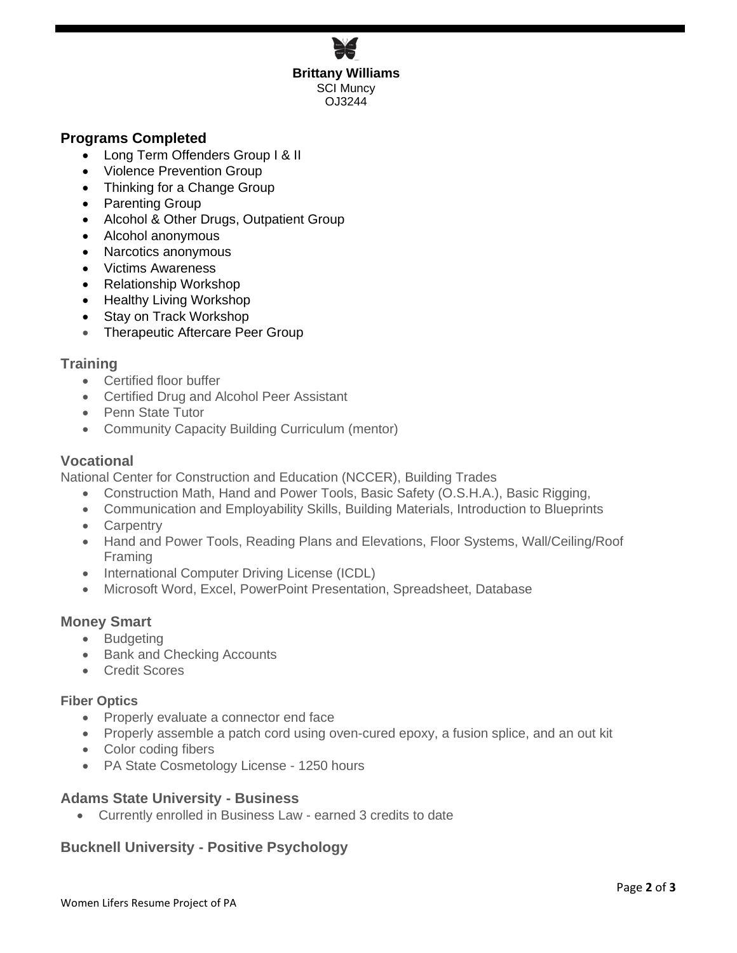**Brittany Williams** SCI Muncy OJ3244

# **Programs Completed**

- Long Term Offenders Group | & II
- Violence Prevention Group
- Thinking for a Change Group
- Parenting Group
- Alcohol & Other Drugs, Outpatient Group
- Alcohol anonymous
- Narcotics anonymous
- Victims Awareness
- Relationship Workshop
- Healthy Living Workshop
- Stay on Track Workshop
- Therapeutic Aftercare Peer Group

### **Training**

- Certified floor buffer
- Certified Drug and Alcohol Peer Assistant
- Penn State Tutor
- Community Capacity Building Curriculum (mentor)

#### **Vocational**

National Center for Construction and Education (NCCER), Building Trades

- Construction Math, Hand and Power Tools, Basic Safety (O.S.H.A.), Basic Rigging,
- Communication and Employability Skills, Building Materials, Introduction to Blueprints
- Carpentry
- Hand and Power Tools, Reading Plans and Elevations, Floor Systems, Wall/Ceiling/Roof Framing
- International Computer Driving License (ICDL)
- Microsoft Word, Excel, PowerPoint Presentation, Spreadsheet, Database

### **Money Smart**

- Budgeting
- Bank and Checking Accounts
- Credit Scores

#### **Fiber Optics**

- Properly evaluate a connector end face
- Properly assemble a patch cord using oven-cured epoxy, a fusion splice, and an out kit
- Color coding fibers
- PA State Cosmetology License 1250 hours

# **Adams State University - Business**

• Currently enrolled in Business Law - earned 3 credits to date

# **Bucknell University - Positive Psychology**